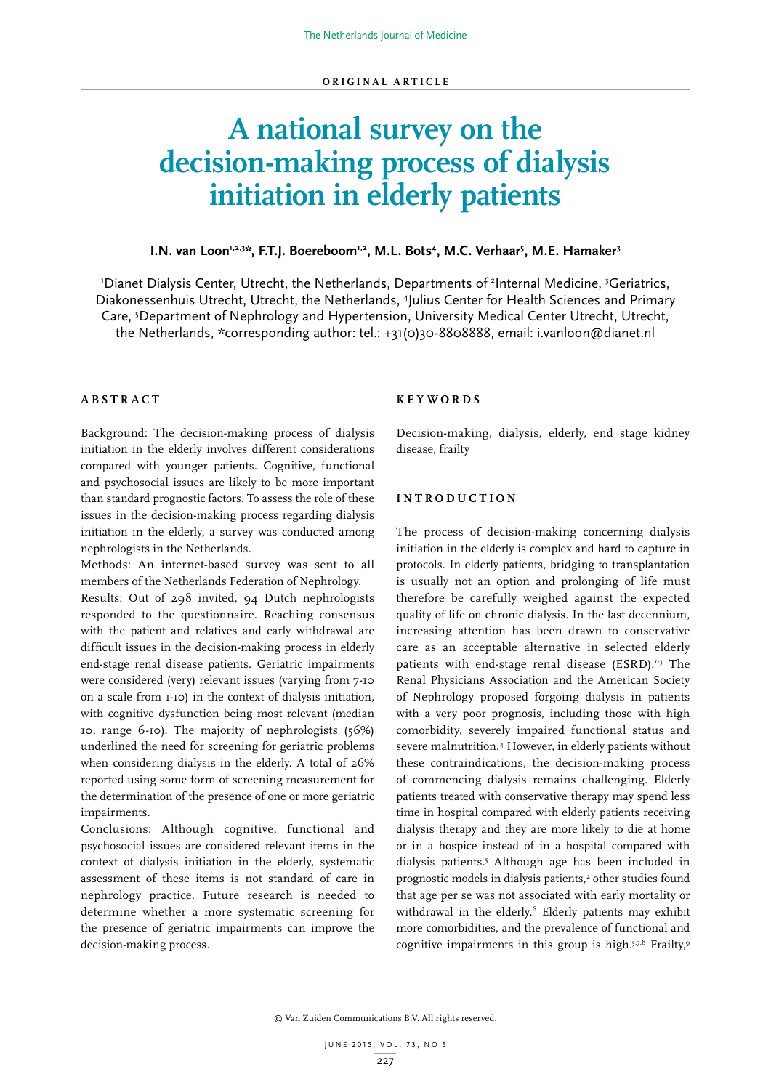# **A national survey on the decision-making process of dialysis initiation in elderly patients**

# **I.N. van Loon'<sup>,2,3</sup>\*\*, F.T.J. Boereboom'<sup>,2</sup>, M.L. Bots<sup>4</sup>, M.C. Verhaar<sup>5</sup>, M.E. Hamaker<sup>3</sup>**

'Dianet Dialysis Center, Utrecht, the Netherlands, Departments of <sup>2</sup>Internal Medicine, <sup>3</sup>Geriatrics, Diakonessenhuis Utrecht, Utrecht, the Netherlands, 4 Julius Center for Health Sciences and Primary Care, 5 Department of Nephrology and Hypertension, University Medical Center Utrecht, Utrecht, the Netherlands, \*corresponding author: tel.: +31(0)30-8808888, email: i.vanloon@dianet.nl

# **ABSTRACT**

Background: The decision-making process of dialysis initiation in the elderly involves different considerations compared with younger patients. Cognitive, functional and psychosocial issues are likely to be more important than standard prognostic factors. To assess the role of these issues in the decision-making process regarding dialysis initiation in the elderly, a survey was conducted among nephrologists in the Netherlands.

Methods: An internet-based survey was sent to all members of the Netherlands Federation of Nephrology.

Results: Out of 298 invited, 94 Dutch nephrologists responded to the questionnaire. Reaching consensus with the patient and relatives and early withdrawal are difficult issues in the decision-making process in elderly end-stage renal disease patients. Geriatric impairments were considered (very) relevant issues (varying from 7-10 on a scale from 1-10) in the context of dialysis initiation, with cognitive dysfunction being most relevant (median 10, range 6-10). The majority of nephrologists (56%) underlined the need for screening for geriatric problems when considering dialysis in the elderly. A total of 26% reported using some form of screening measurement for the determination of the presence of one or more geriatric impairments.

Conclusions: Although cognitive, functional and psychosocial issues are considered relevant items in the context of dialysis initiation in the elderly, systematic assessment of these items is not standard of care in nephrology practice. Future research is needed to determine whether a more systematic screening for the presence of geriatric impairments can improve the decision-making process.

#### **K E Y W O R D S**

Decision-making, dialysis, elderly, end stage kidney disease, frailty

### **INTRODUCTION**

The process of decision-making concerning dialysis initiation in the elderly is complex and hard to capture in protocols. In elderly patients, bridging to transplantation is usually not an option and prolonging of life must therefore be carefully weighed against the expected quality of life on chronic dialysis. In the last decennium, increasing attention has been drawn to conservative care as an acceptable alternative in selected elderly patients with end-stage renal disease (ESRD). $1-3$  The Renal Physicians Association and the American Society of Nephrology proposed forgoing dialysis in patients with a very poor prognosis, including those with high comorbidity, severely impaired functional status and severe malnutrition.4 However, in elderly patients without these contraindications, the decision-making process of commencing dialysis remains challenging. Elderly patients treated with conservative therapy may spend less time in hospital compared with elderly patients receiving dialysis therapy and they are more likely to die at home or in a hospice instead of in a hospital compared with dialysis patients.5 Although age has been included in prognostic models in dialysis patients,<sup>2</sup> other studies found that age per se was not associated with early mortality or withdrawal in the elderly.<sup>6</sup> Elderly patients may exhibit more comorbidities, and the prevalence of functional and cognitive impairments in this group is high.5,7,8 Frailty,9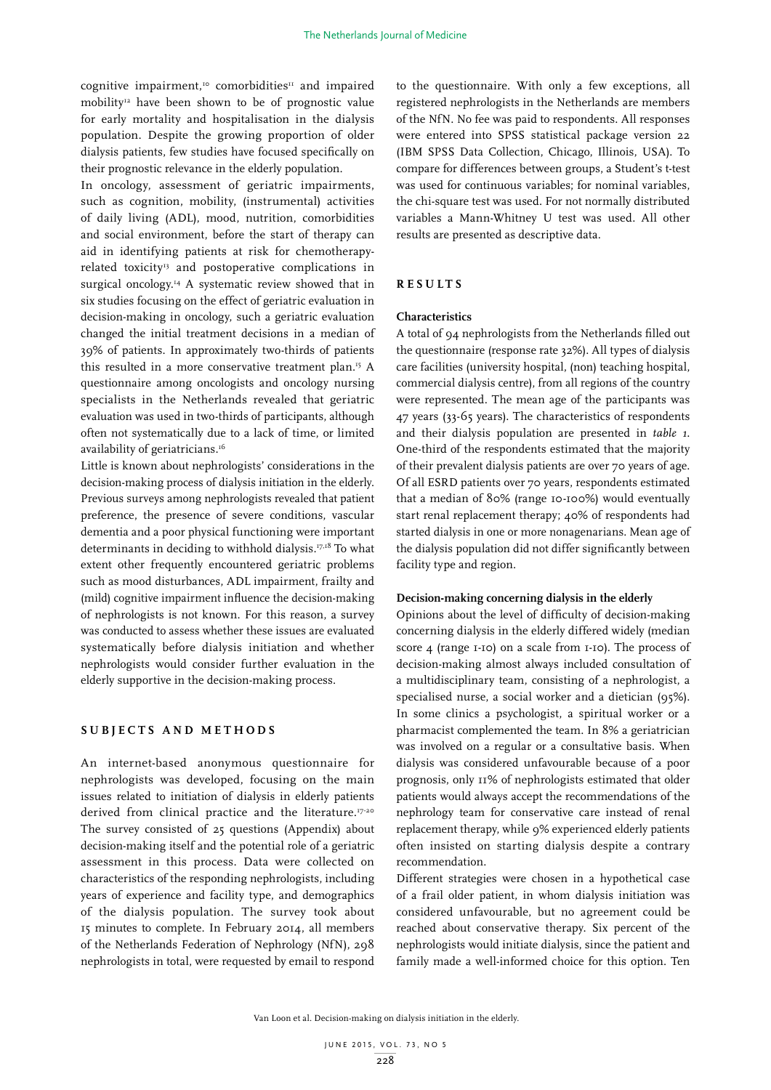cognitive impairment,<sup>10</sup> comorbidities<sup>11</sup> and impaired mobility<sup>12</sup> have been shown to be of prognostic value for early mortality and hospitalisation in the dialysis population. Despite the growing proportion of older dialysis patients, few studies have focused specifically on their prognostic relevance in the elderly population.

In oncology, assessment of geriatric impairments, such as cognition, mobility, (instrumental) activities of daily living (ADL), mood, nutrition, comorbidities and social environment, before the start of therapy can aid in identifying patients at risk for chemotherapyrelated toxicity<sup>13</sup> and postoperative complications in surgical oncology.<sup>14</sup> A systematic review showed that in six studies focusing on the effect of geriatric evaluation in decision-making in oncology, such a geriatric evaluation changed the initial treatment decisions in a median of 39% of patients. In approximately two-thirds of patients this resulted in a more conservative treatment plan.15 A questionnaire among oncologists and oncology nursing specialists in the Netherlands revealed that geriatric evaluation was used in two-thirds of participants, although often not systematically due to a lack of time, or limited availability of geriatricians.<sup>16</sup>

Little is known about nephrologists' considerations in the decision-making process of dialysis initiation in the elderly. Previous surveys among nephrologists revealed that patient preference, the presence of severe conditions, vascular dementia and a poor physical functioning were important determinants in deciding to withhold dialysis.17,18 To what extent other frequently encountered geriatric problems such as mood disturbances, ADL impairment, frailty and (mild) cognitive impairment influence the decision-making of nephrologists is not known. For this reason, a survey was conducted to assess whether these issues are evaluated systematically before dialysis initiation and whether nephrologists would consider further evaluation in the elderly supportive in the decision-making process.

#### **SUBJECTS AND METHODS**

An internet-based anonymous questionnaire for nephrologists was developed, focusing on the main issues related to initiation of dialysis in elderly patients derived from clinical practice and the literature.<sup>17-20</sup> The survey consisted of 25 questions (Appendix) about decision-making itself and the potential role of a geriatric assessment in this process. Data were collected on characteristics of the responding nephrologists, including years of experience and facility type, and demographics of the dialysis population. The survey took about 15 minutes to complete. In February 2014, all members of the Netherlands Federation of Nephrology (NfN), 298 nephrologists in total, were requested by email to respond

to the questionnaire. With only a few exceptions, all registered nephrologists in the Netherlands are members of the NfN. No fee was paid to respondents. All responses were entered into SPSS statistical package version 22 (IBM SPSS Data Collection, Chicago, Illinois, USA). To compare for differences between groups, a Student's t-test was used for continuous variables; for nominal variables, the chi-square test was used. For not normally distributed variables a Mann-Whitney U test was used. All other results are presented as descriptive data.

#### **RESULTS**

#### **Characteristics**

A total of 94 nephrologists from the Netherlands filled out the questionnaire (response rate 32%). All types of dialysis care facilities (university hospital, (non) teaching hospital, commercial dialysis centre), from all regions of the country were represented. The mean age of the participants was 47 years (33-65 years). The characteristics of respondents and their dialysis population are presented in *table 1*. One-third of the respondents estimated that the majority of their prevalent dialysis patients are over 70 years of age. Of all ESRD patients over 70 years, respondents estimated that a median of 80% (range 10-100%) would eventually start renal replacement therapy; 40% of respondents had started dialysis in one or more nonagenarians. Mean age of the dialysis population did not differ significantly between facility type and region.

#### **Decision-making concerning dialysis in the elderly**

Opinions about the level of difficulty of decision-making concerning dialysis in the elderly differed widely (median score 4 (range 1-10) on a scale from 1-10). The process of decision-making almost always included consultation of a multidisciplinary team, consisting of a nephrologist, a specialised nurse, a social worker and a dietician (95%). In some clinics a psychologist, a spiritual worker or a pharmacist complemented the team. In 8% a geriatrician was involved on a regular or a consultative basis. When dialysis was considered unfavourable because of a poor prognosis, only 11% of nephrologists estimated that older patients would always accept the recommendations of the nephrology team for conservative care instead of renal replacement therapy, while 9% experienced elderly patients often insisted on starting dialysis despite a contrary recommendation.

Different strategies were chosen in a hypothetical case of a frail older patient, in whom dialysis initiation was considered unfavourable, but no agreement could be reached about conservative therapy. Six percent of the nephrologists would initiate dialysis, since the patient and family made a well-informed choice for this option. Ten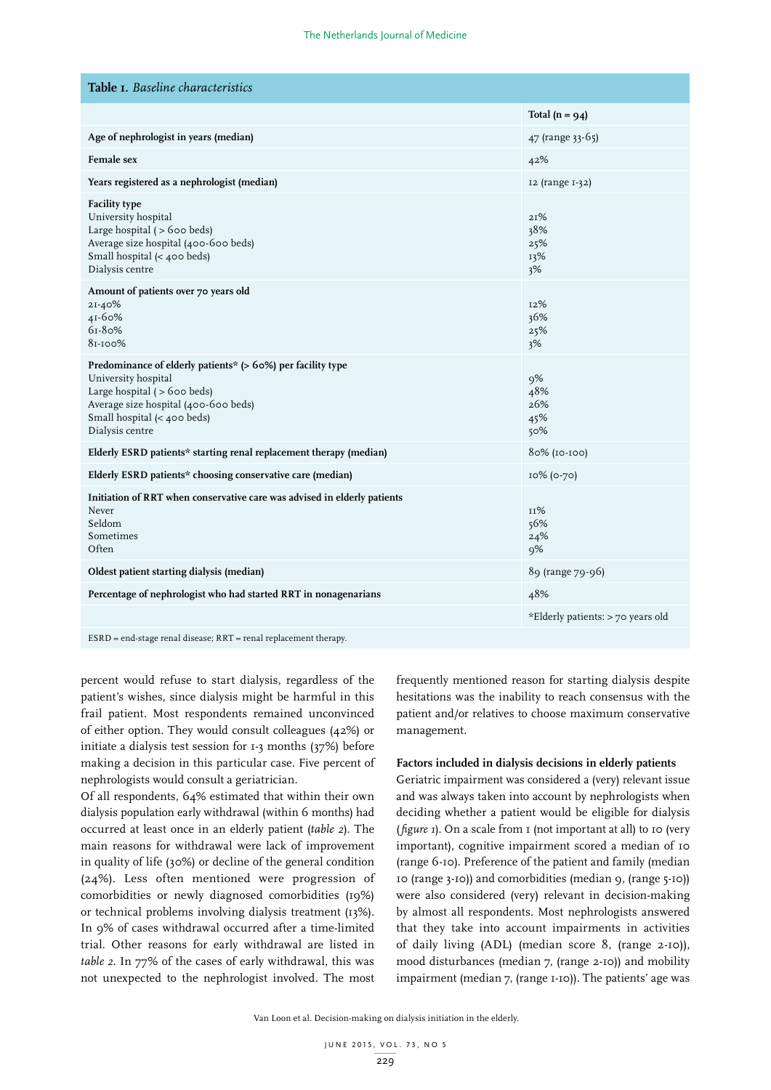| Table I. Baseline characteristics                                                                                                                                                                                 |                                   |
|-------------------------------------------------------------------------------------------------------------------------------------------------------------------------------------------------------------------|-----------------------------------|
|                                                                                                                                                                                                                   | Total $(n = 94)$                  |
| Age of nephrologist in years (median)                                                                                                                                                                             | 47 (range 33-65)                  |
| <b>Female</b> sex                                                                                                                                                                                                 | 42%                               |
| Years registered as a nephrologist (median)                                                                                                                                                                       | 12 (range 1-32)                   |
| <b>Facility type</b><br>University hospital<br>Large hospital $($ > 600 beds)<br>Average size hospital (400-600 beds)<br>Small hospital (< 400 beds)<br>Dialysis centre                                           | 21%<br>38%<br>25%<br>13%<br>3%    |
| Amount of patients over 70 years old<br>21-40%<br>41-60%<br>61-80%<br>81-100%                                                                                                                                     | 12%<br>36%<br>25%<br>3%           |
| Predominance of elderly patients* (> 60%) per facility type<br>University hospital<br>Large hospital $($ > 600 beds $)$<br>Average size hospital (400-600 beds)<br>Small hospital (< 400 beds)<br>Dialysis centre | 9%<br>48%<br>26%<br>45%<br>50%    |
| Elderly ESRD patients* starting renal replacement therapy (median)                                                                                                                                                | 80% (10-100)                      |
| Elderly ESRD patients* choosing conservative care (median)                                                                                                                                                        | 10% (0-70)                        |
| Initiation of RRT when conservative care was advised in elderly patients<br>Never<br>Seldom<br>Sometimes<br>Often                                                                                                 | 11%<br>56%<br>24%<br>9%           |
| Oldest patient starting dialysis (median)                                                                                                                                                                         | 89 (range 79-96)                  |
| Percentage of nephrologist who had started RRT in nonagenarians                                                                                                                                                   | 48%                               |
|                                                                                                                                                                                                                   | *Elderly patients: > 70 years old |
|                                                                                                                                                                                                                   |                                   |

ESRD = end-stage renal disease; RRT = renal replacement therapy.

percent would refuse to start dialysis, regardless of the patient's wishes, since dialysis might be harmful in this frail patient. Most respondents remained unconvinced of either option. They would consult colleagues (42%) or initiate a dialysis test session for 1-3 months (37%) before making a decision in this particular case. Five percent of nephrologists would consult a geriatrician.

Of all respondents, 64% estimated that within their own dialysis population early withdrawal (within 6 months) had occurred at least once in an elderly patient (*table 2*). The main reasons for withdrawal were lack of improvement in quality of life (30%) or decline of the general condition (24%). Less often mentioned were progression of comorbidities or newly diagnosed comorbidities (19%) or technical problems involving dialysis treatment (13%). In 9% of cases withdrawal occurred after a time-limited trial. Other reasons for early withdrawal are listed in *table 2*. In 77% of the cases of early withdrawal, this was not unexpected to the nephrologist involved. The most frequently mentioned reason for starting dialysis despite hesitations was the inability to reach consensus with the patient and/or relatives to choose maximum conservative management.

#### **Factors included in dialysis decisions in elderly patients**

Geriatric impairment was considered a (very) relevant issue and was always taken into account by nephrologists when deciding whether a patient would be eligible for dialysis (*figure 1*). On a scale from 1 (not important at all) to 10 (very important), cognitive impairment scored a median of 10 (range 6-10). Preference of the patient and family (median 10 (range 3-10)) and comorbidities (median 9, (range 5-10)) were also considered (very) relevant in decision-making by almost all respondents. Most nephrologists answered that they take into account impairments in activities of daily living (ADL) (median score 8, (range 2-10)), mood disturbances (median 7, (range 2-10)) and mobility impairment (median 7, (range 1-10)). The patients' age was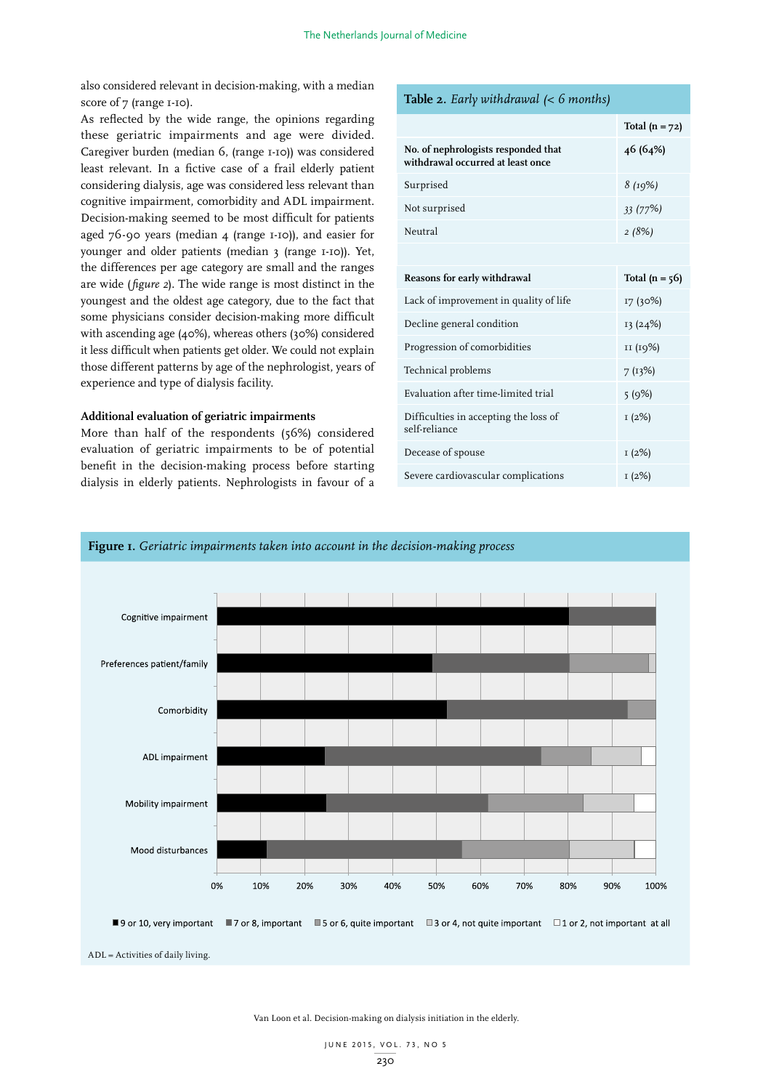also considered relevant in decision-making, with a median score of 7 (range 1-10).

As reflected by the wide range, the opinions regarding these geriatric impairments and age were divided. Caregiver burden (median 6, (range 1-10)) was considered least relevant. In a fictive case of a frail elderly patient considering dialysis, age was considered less relevant than cognitive impairment, comorbidity and ADL impairment. Decision-making seemed to be most difficult for patients aged 76-90 years (median 4 (range 1-10)), and easier for younger and older patients (median 3 (range 1-10)). Yet, the differences per age category are small and the ranges are wide (*figure 2*). The wide range is most distinct in the youngest and the oldest age category, due to the fact that some physicians consider decision-making more difficult with ascending age (40%), whereas others (30%) considered it less difficult when patients get older. We could not explain those different patterns by age of the nephrologist, years of experience and type of dialysis facility.

#### **Additional evaluation of geriatric impairments**

More than half of the respondents (56%) considered evaluation of geriatric impairments to be of potential benefit in the decision-making process before starting dialysis in elderly patients. Nephrologists in favour of a

**Total (n = 72) No. of nephrologists responded that withdrawal occurred at least once 46 (64%)** Surprised *8 (19%)* Not surprised *33 (77%)*  Neutral *2 (8%)* **Reasons for early withdrawal Total (n = 56)** Lack of improvement in quality of life  $17$  (30%) Decline general condition 13 (24%) Progression of comorbidities 11 (19%) Technical problems 7 (13%) Evaluation after time-limited trial 5 (9%) Difficulties in accepting the loss of self-reliance 1 (2%) Decease of spouse 1 (2%) Severe cardiovascular complications  $1 (2%)$ 



Van Loon et al. Decision-making on dialysis initiation in the elderly.

**Table 2.** *Early withdrawal (< 6 months)*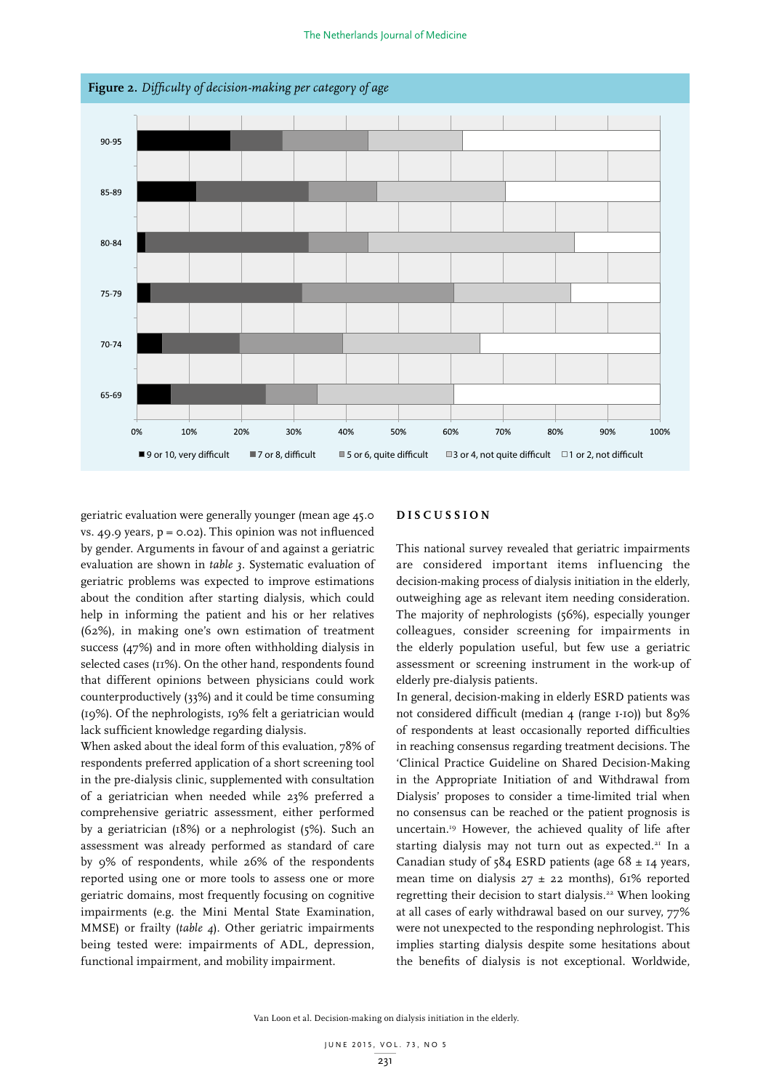

**Figure 2.** *Difficulty of decision-making per category of age*

geriatric evaluation were generally younger (mean age 45.0 vs. 49.9 years,  $p = 0.02$ ). This opinion was not influenced by gender. Arguments in favour of and against a geriatric evaluation are shown in *table 3*. Systematic evaluation of geriatric problems was expected to improve estimations about the condition after starting dialysis, which could help in informing the patient and his or her relatives (62%), in making one's own estimation of treatment success (47%) and in more often withholding dialysis in selected cases ( $11\%$ ). On the other hand, respondents found that different opinions between physicians could work counterproductively (33%) and it could be time consuming (19%). Of the nephrologists, 19% felt a geriatrician would lack sufficient knowledge regarding dialysis.

When asked about the ideal form of this evaluation, 78% of respondents preferred application of a short screening tool in the pre-dialysis clinic, supplemented with consultation of a geriatrician when needed while 23% preferred a comprehensive geriatric assessment, either performed by a geriatrician (18%) or a nephrologist (5%). Such an assessment was already performed as standard of care by 9% of respondents, while 26% of the respondents reported using one or more tools to assess one or more geriatric domains, most frequently focusing on cognitive impairments (e.g. the Mini Mental State Examination, MMSE) or frailty (*table 4*). Other geriatric impairments being tested were: impairments of ADL, depression, functional impairment, and mobility impairment.

#### **D I S C U S S I O N**

This national survey revealed that geriatric impairments are considered important items influencing the decision-making process of dialysis initiation in the elderly, outweighing age as relevant item needing consideration. The majority of nephrologists (56%), especially younger colleagues, consider screening for impairments in the elderly population useful, but few use a geriatric assessment or screening instrument in the work-up of elderly pre-dialysis patients.

In general, decision-making in elderly ESRD patients was not considered difficult (median 4 (range 1-10)) but 89% of respondents at least occasionally reported difficulties in reaching consensus regarding treatment decisions. The 'Clinical Practice Guideline on Shared Decision-Making in the Appropriate Initiation of and Withdrawal from Dialysis' proposes to consider a time-limited trial when no consensus can be reached or the patient prognosis is uncertain.19 However, the achieved quality of life after starting dialysis may not turn out as expected.<sup>21</sup> In a Canadian study of  $584$  ESRD patients (age  $68 \pm 14$  years, mean time on dialysis  $27 \pm 22$  months), 61% reported regretting their decision to start dialysis.<sup>22</sup> When looking at all cases of early withdrawal based on our survey, 77% were not unexpected to the responding nephrologist. This implies starting dialysis despite some hesitations about the benefits of dialysis is not exceptional. Worldwide,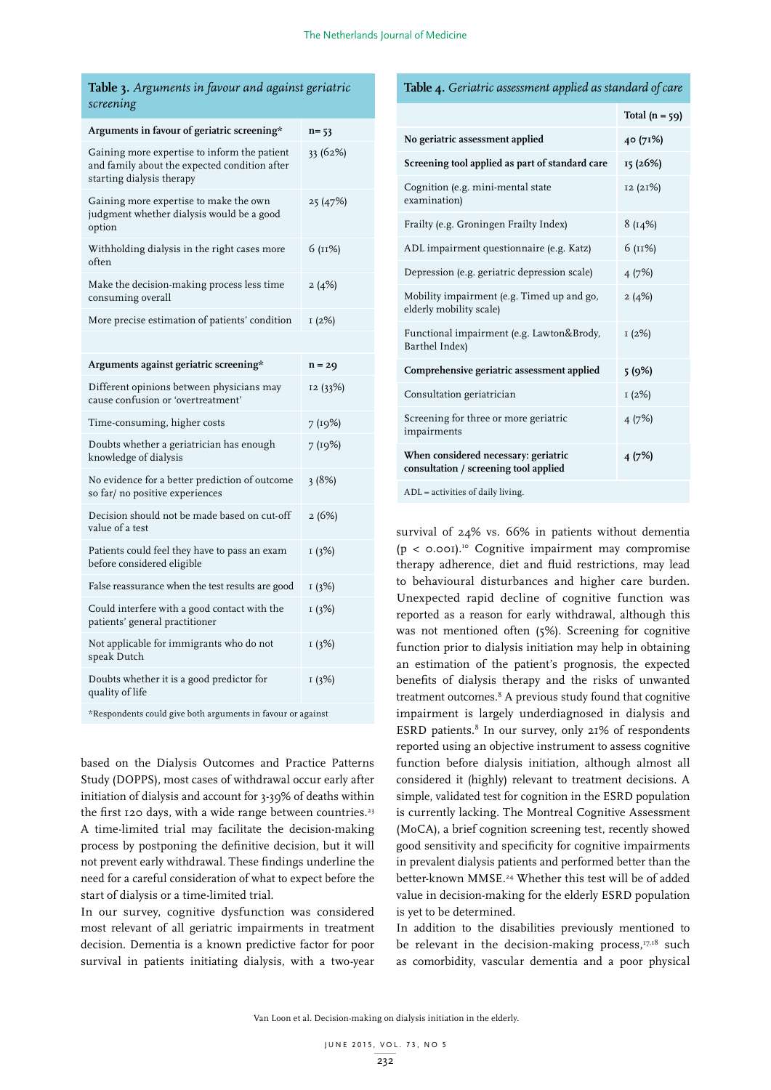| Table 3. Arguments in favour and against geriatric |  |  |
|----------------------------------------------------|--|--|
| screening                                          |  |  |

| Arguments in favour of geriatric screening*                                                                                | $n = 53$ |
|----------------------------------------------------------------------------------------------------------------------------|----------|
| Gaining more expertise to inform the patient<br>and family about the expected condition after<br>starting dialysis therapy | 33 (62%) |
| Gaining more expertise to make the own<br>judgment whether dialysis would be a good<br>option                              | 25 (47%) |
| Withholding dialysis in the right cases more<br>often                                                                      | 6 (11%)  |
| Make the decision-making process less time<br>consuming overall                                                            | 2(4%)    |
| More precise estimation of patients' condition                                                                             | I(2%)    |
|                                                                                                                            |          |
| Arguments against geriatric screening*                                                                                     | $n = 29$ |
| Different opinions between physicians may<br>cause confusion or 'overtreatment'                                            | 12 (33%) |
| Time-consuming, higher costs                                                                                               | 7 (19%)  |
| Doubts whether a geriatrician has enough<br>knowledge of dialysis                                                          | 7 (19%)  |
| No evidence for a better prediction of outcome<br>so far/ no positive experiences                                          | 3(8%)    |
| Decision should not be made based on cut-off<br>value of a test                                                            | 2(6%)    |
| Patients could feel they have to pass an exam<br>before considered eligible                                                | 1(3%)    |
| False reassurance when the test results are good                                                                           | 1(3%)    |
| Could interfere with a good contact with the<br>patients' general practitioner                                             | 1(3%)    |
| Not applicable for immigrants who do not<br>speak Dutch                                                                    | 1(3%)    |
| Doubts whether it is a good predictor for<br>quality of life                                                               | 1(3%)    |

\*Respondents could give both arguments in favour or against

based on the Dialysis Outcomes and Practice Patterns Study (DOPPS), most cases of withdrawal occur early after initiation of dialysis and account for 3-39% of deaths within the first 120 days, with a wide range between countries.<sup>23</sup> A time-limited trial may facilitate the decision-making process by postponing the definitive decision, but it will not prevent early withdrawal. These findings underline the need for a careful consideration of what to expect before the start of dialysis or a time-limited trial.

In our survey, cognitive dysfunction was considered most relevant of all geriatric impairments in treatment decision. Dementia is a known predictive factor for poor survival in patients initiating dialysis, with a two-year

#### **Table 4.** *Geriatric assessment applied as standard of care*

|                                                                               | Total $(n = 59)$ |
|-------------------------------------------------------------------------------|------------------|
| No geriatric assessment applied                                               | 40 (71%)         |
| Screening tool applied as part of standard care                               | 15 (26%)         |
| Cognition (e.g. mini-mental state<br>examination)                             | 12 (21%)         |
| Frailty (e.g. Groningen Frailty Index)                                        | 8(14%)           |
| ADL impairment questionnaire (e.g. Katz)                                      | 6 (11%)          |
| Depression (e.g. geriatric depression scale)                                  | 4(7%)            |
| Mobility impairment (e.g. Timed up and go,<br>elderly mobility scale)         | 2(4%)            |
| Functional impairment (e.g. Lawton&Brody,<br>Barthel Index)                   | I(2%)            |
| Comprehensive geriatric assessment applied                                    | 5(9%)            |
| Consultation geriatrician                                                     | I(2%)            |
| Screening for three or more geriatric<br>impairments                          | 4 (7%)           |
| When considered necessary: geriatric<br>consultation / screening tool applied | 4(7%)            |
| ADL = activities of daily living.                                             |                  |

survival of 24% vs. 66% in patients without dementia  $(p < 0.001)$ <sup>10</sup> Cognitive impairment may compromise therapy adherence, diet and fluid restrictions, may lead to behavioural disturbances and higher care burden. Unexpected rapid decline of cognitive function was reported as a reason for early withdrawal, although this was not mentioned often (5%). Screening for cognitive function prior to dialysis initiation may help in obtaining an estimation of the patient's prognosis, the expected benefits of dialysis therapy and the risks of unwanted treatment outcomes.8 A previous study found that cognitive impairment is largely underdiagnosed in dialysis and ESRD patients.<sup>8</sup> In our survey, only 21% of respondents reported using an objective instrument to assess cognitive function before dialysis initiation, although almost all considered it (highly) relevant to treatment decisions. A simple, validated test for cognition in the ESRD population is currently lacking. The Montreal Cognitive Assessment (MoCA), a brief cognition screening test, recently showed good sensitivity and specificity for cognitive impairments in prevalent dialysis patients and performed better than the better-known MMSE.<sup>24</sup> Whether this test will be of added value in decision-making for the elderly ESRD population is yet to be determined.

In addition to the disabilities previously mentioned to be relevant in the decision-making process, $I^{7,18}$  such as comorbidity, vascular dementia and a poor physical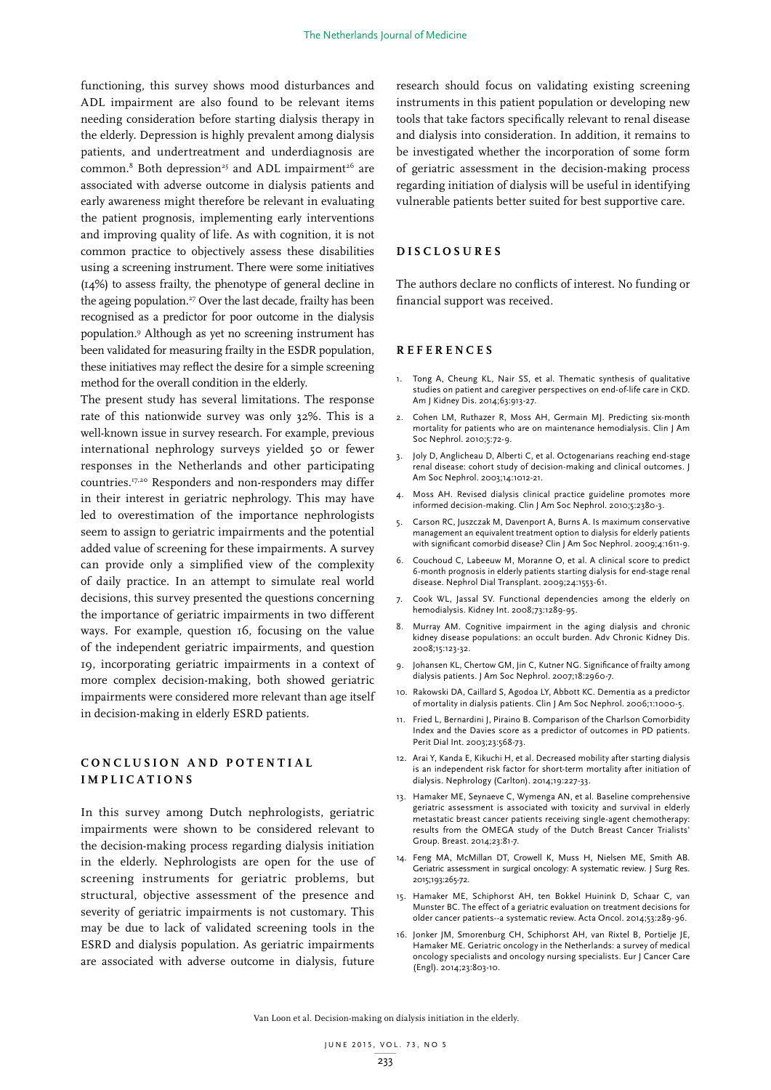functioning, this survey shows mood disturbances and ADL impairment are also found to be relevant items needing consideration before starting dialysis therapy in the elderly. Depression is highly prevalent among dialysis patients, and undertreatment and underdiagnosis are  $common.*$  Both depression<sup>25</sup> and ADL impairment<sup>26</sup> are associated with adverse outcome in dialysis patients and early awareness might therefore be relevant in evaluating the patient prognosis, implementing early interventions and improving quality of life. As with cognition, it is not common practice to objectively assess these disabilities using a screening instrument. There were some initiatives (14%) to assess frailty, the phenotype of general decline in the ageing population.<sup>27</sup> Over the last decade, frailty has been recognised as a predictor for poor outcome in the dialysis population.9 Although as yet no screening instrument has been validated for measuring frailty in the ESDR population, these initiatives may reflect the desire for a simple screening method for the overall condition in the elderly.

The present study has several limitations. The response rate of this nationwide survey was only 32%. This is a well-known issue in survey research. For example, previous international nephrology surveys yielded 50 or fewer responses in the Netherlands and other participating countries.17,20 Responders and non-responders may differ in their interest in geriatric nephrology. This may have led to overestimation of the importance nephrologists seem to assign to geriatric impairments and the potential added value of screening for these impairments. A survey can provide only a simplified view of the complexity of daily practice. In an attempt to simulate real world decisions, this survey presented the questions concerning the importance of geriatric impairments in two different ways. For example, question 16, focusing on the value of the independent geriatric impairments, and question 19, incorporating geriatric impairments in a context of more complex decision-making, both showed geriatric impairments were considered more relevant than age itself in decision-making in elderly ESRD patients.

# **C O N C L U S I O N A N D P O T E N T I A L IMPLICATIONS**

In this survey among Dutch nephrologists, geriatric impairments were shown to be considered relevant to the decision-making process regarding dialysis initiation in the elderly. Nephrologists are open for the use of screening instruments for geriatric problems, but structural, objective assessment of the presence and severity of geriatric impairments is not customary. This may be due to lack of validated screening tools in the ESRD and dialysis population. As geriatric impairments are associated with adverse outcome in dialysis, future

research should focus on validating existing screening instruments in this patient population or developing new tools that take factors specifically relevant to renal disease and dialysis into consideration. In addition, it remains to be investigated whether the incorporation of some form of geriatric assessment in the decision-making process regarding initiation of dialysis will be useful in identifying vulnerable patients better suited for best supportive care.

#### **DISCLOSURES**

The authors declare no conflicts of interest. No funding or financial support was received.

#### **REFERENCES**

- 1. Tong A, Cheung KL, Nair SS, et al. Thematic synthesis of qualitative studies on patient and caregiver perspectives on end-of-life care in CKD. Am J Kidney Dis. 2014;63:913-27.
- 2. Cohen LM, Ruthazer R, Moss AH, Germain MJ. Predicting six-month mortality for patients who are on maintenance hemodialysis. Clin J Am Soc Nephrol. 2010;5:72-9.
- 3. Joly D, Anglicheau D, Alberti C, et al. Octogenarians reaching end-stage renal disease: cohort study of decision-making and clinical outcomes. J Am Soc Nephrol. 2003;14:1012-21.
- 4. Moss AH. Revised dialysis clinical practice guideline promotes more informed decision-making. Clin J Am Soc Nephrol. 2010;5:2380-3.
- 5. Carson RC, Juszczak M, Davenport A, Burns A. Is maximum conservative management an equivalent treatment option to dialysis for elderly patients with significant comorbid disease? Clin J Am Soc Nephrol. 2009;4:1611-9.
- 6. Couchoud C, Labeeuw M, Moranne O, et al. A clinical score to predict 6-month prognosis in elderly patients starting dialysis for end-stage renal disease. Nephrol Dial Transplant. 2009;24:1553-61.
- 7. Cook WL, Jassal SV. Functional dependencies among the elderly on hemodialysis. Kidney Int. 2008;73:1289-95.
- 8. Murray AM. Cognitive impairment in the aging dialysis and chronic kidney disease populations: an occult burden. Adv Chronic Kidney Dis. 2008;15:123-32.
- 9. Johansen KL, Chertow GM, Jin C, Kutner NG. Significance of frailty among dialysis patients. J Am Soc Nephrol. 2007;18:2960-7.
- 10. Rakowski DA, Caillard S, Agodoa LY, Abbott KC. Dementia as a predictor of mortality in dialysis patients. Clin J Am Soc Nephrol. 2006;1:1000-5.
- 11. Fried L, Bernardini J, Piraino B. Comparison of the Charlson Comorbidity Index and the Davies score as a predictor of outcomes in PD patients. Perit Dial Int. 2003;23:568-73.
- 12. Arai Y, Kanda E, Kikuchi H, et al. Decreased mobility after starting dialysis is an independent risk factor for short-term mortality after initiation of dialysis. Nephrology (Carlton). 2014;19:227-33.
- 13. Hamaker ME, Seynaeve C, Wymenga AN, et al. Baseline comprehensive geriatric assessment is associated with toxicity and survival in elderly metastatic breast cancer patients receiving single-agent chemotherapy: results from the OMEGA study of the Dutch Breast Cancer Trialists' Group. Breast. 2014;23:81-7.
- 14. Feng MA, McMillan DT, Crowell K, Muss H, Nielsen ME, Smith AB. Geriatric assessment in surgical oncology: A systematic review. J Surg Res. 2015;193:265-72.
- 15. Hamaker ME, Schiphorst AH, ten Bokkel Huinink D, Schaar C, van Munster BC. The effect of a geriatric evaluation on treatment decisions for older cancer patients--a systematic review. Acta Oncol. 2014;53:289-96.
- 16. Jonker JM, Smorenburg CH, Schiphorst AH, van Rixtel B, Portielje JE, Hamaker ME. Geriatric oncology in the Netherlands: a survey of medical oncology specialists and oncology nursing specialists. Eur J Cancer Care (Engl). 2014;23:803-10.

Van Loon et al. Decision-making on dialysis initiation in the elderly.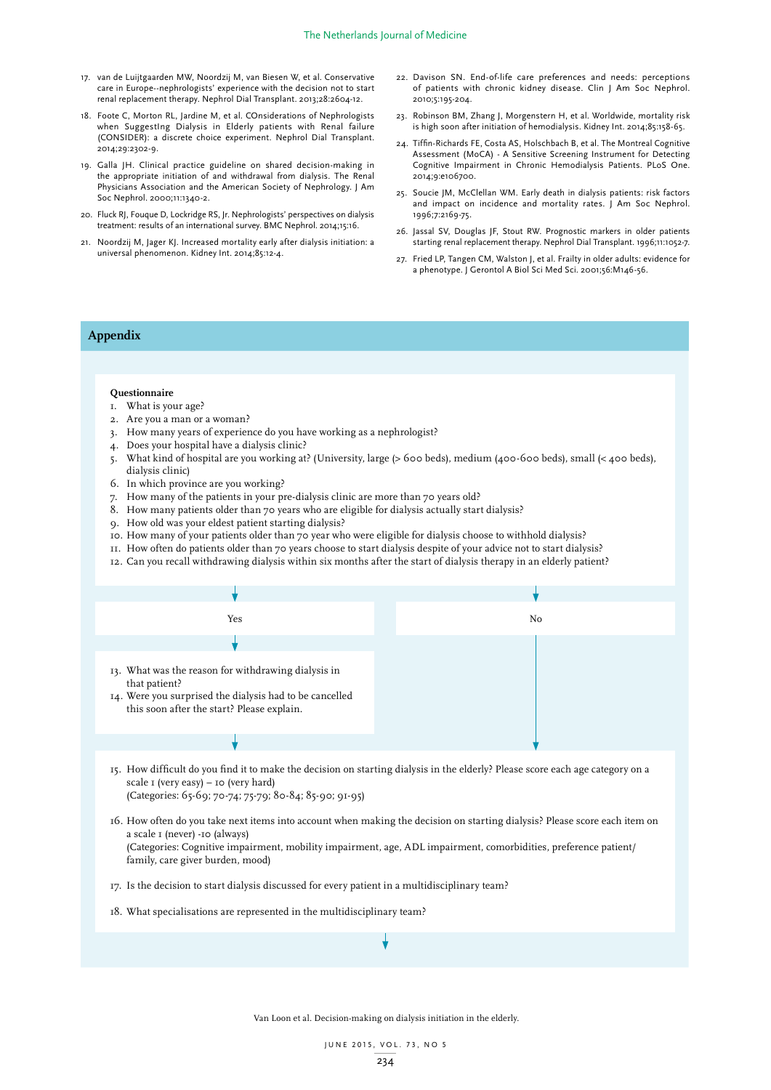- 17. van de Luijtgaarden MW, Noordzij M, van Biesen W, et al. Conservative care in Europe--nephrologists' experience with the decision not to start renal replacement therapy. Nephrol Dial Transplant. 2013;28:2604-12.
- 18. Foote C, Morton RL, Jardine M, et al. COnsiderations of Nephrologists when SuggestIng Dialysis in Elderly patients with Renal failure (CONSIDER): a discrete choice experiment. Nephrol Dial Transplant.  $2014;29:2302-9.$
- 19. Galla JH. Clinical practice guideline on shared decision-making in the appropriate initiation of and withdrawal from dialysis. The Renal Physicians Association and the American Society of Nephrology. J Am Soc Nephrol. 2000;11:1340-2.
- 20. Fluck RJ, Fouque D, Lockridge RS, Jr. Nephrologists' perspectives on dialysis treatment: results of an international survey. BMC Nephrol. 2014;15:16.
- 21. Noordzij M, Jager KJ. Increased mortality early after dialysis initiation: a universal phenomenon. Kidney Int. 2014;85:12-4.
- 22. Davison SN. End-of-life care preferences and needs: perceptions of patients with chronic kidney disease. Clin J Am Soc Nephrol. 2010;5:195-204.
- 23. Robinson BM, Zhang J, Morgenstern H, et al. Worldwide, mortality risk is high soon after initiation of hemodialysis. Kidney Int. 2014;85:158-65.
- 24. Tiffin-Richards FE, Costa AS, Holschbach B, et al. The Montreal Cognitive Assessment (MoCA) - A Sensitive Screening Instrument for Detecting Cognitive Impairment in Chronic Hemodialysis Patients. PLoS One. 2014;9:e106700.
- 25. Soucie JM, McClellan WM. Early death in dialysis patients: risk factors and impact on incidence and mortality rates. J Am Soc Nephrol. 1996;7:2169-75.
- 26. Jassal SV, Douglas JF, Stout RW. Prognostic markers in older patients starting renal replacement therapy. Nephrol Dial Transplant. 1996;11:1052-7.
- 27. Fried LP, Tangen CM, Walston J, et al. Frailty in older adults: evidence for a phenotype. J Gerontol A Biol Sci Med Sci. 2001;56:M146-56.

# **Appendix**

#### **Questionnaire**

- 1. What is your age?
- 2. Are you a man or a woman?
- 3. How many years of experience do you have working as a nephrologist?
- 4. Does your hospital have a dialysis clinic?
- 5. What kind of hospital are you working at? (University, large (> 600 beds), medium (400-600 beds), small (< 400 beds), dialysis clinic)
- 6. In which province are you working?
- 7. How many of the patients in your pre-dialysis clinic are more than 70 years old?
- 8. How many patients older than 70 years who are eligible for dialysis actually start dialysis?
- 9. How old was your eldest patient starting dialysis?
- 10. How many of your patients older than 70 year who were eligible for dialysis choose to withhold dialysis?
- 11. How often do patients older than 70 years choose to start dialysis despite of your advice not to start dialysis?
- 12. Can you recall withdrawing dialysis within six months after the start of dialysis therapy in an elderly patient?



- 15. How difficult do you find it to make the decision on starting dialysis in the elderly? Please score each age category on a scale 1 (very easy) – 10 (very hard) (Categories: 65-69; 70-74; 75-79; 80-84; 85-90; 91-95)
- 16. How often do you take next items into account when making the decision on starting dialysis? Please score each item on a scale 1 (never) -10 (always) (Categories: Cognitive impairment, mobility impairment, age, ADL impairment, comorbidities, preference patient/ family, care giver burden, mood)
- 17. Is the decision to start dialysis discussed for every patient in a multidisciplinary team?
- 18. What specialisations are represented in the multidisciplinary team?

Van Loon et al. Decision-making on dialysis initiation in the elderly.